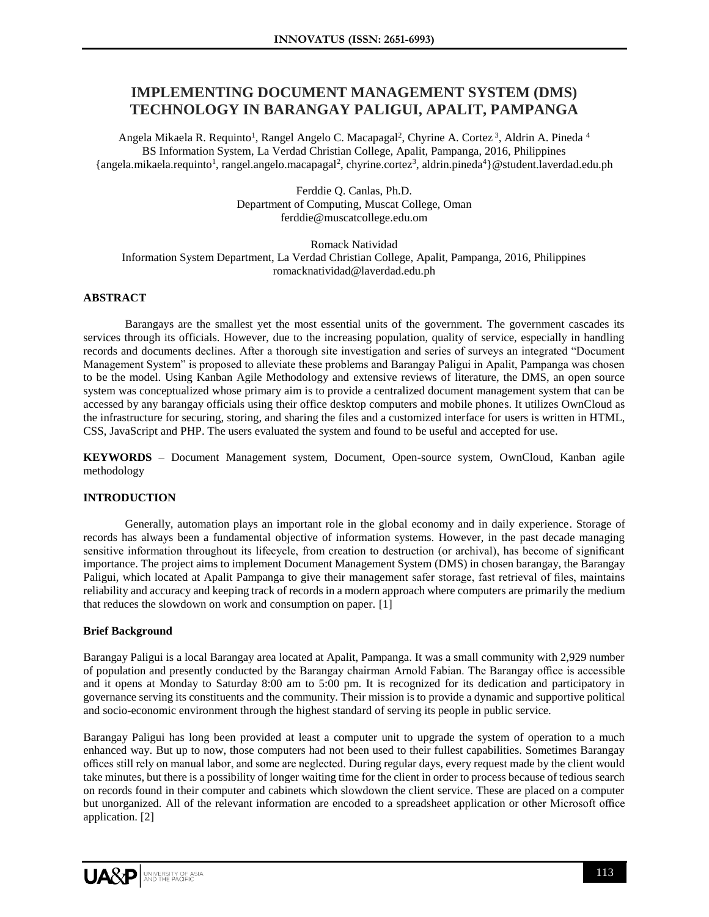# **IMPLEMENTING DOCUMENT MANAGEMENT SYSTEM (DMS) TECHNOLOGY IN BARANGAY PALIGUI, APALIT, PAMPANGA**

Angela Mikaela R. Requinto<sup>1</sup>, Rangel Angelo C. Macapagal<sup>2</sup>, Chyrine A. Cortez<sup>3</sup>, Aldrin A. Pineda <sup>4</sup> BS Information System, La Verdad Christian College, Apalit, Pampanga, 2016, Philippines {angela.mikaela.requinto<sup>1</sup>, rangel.angelo.macapagal<sup>2</sup>, chyrine.cortez<sup>3</sup>, aldrin.pineda<sup>4</sup>}@student.laverdad.edu.ph

> Ferddie Q. Canlas, Ph.D. Department of Computing, Muscat College, Oman ferddie@muscatcollege.edu.om

Romack Natividad Information System Department, La Verdad Christian College, Apalit, Pampanga, 2016, Philippines romacknatividad@laverdad.edu.ph

## **ABSTRACT**

Barangays are the smallest yet the most essential units of the government. The government cascades its services through its officials. However, due to the increasing population, quality of service, especially in handling records and documents declines. After a thorough site investigation and series of surveys an integrated "Document Management System" is proposed to alleviate these problems and Barangay Paligui in Apalit, Pampanga was chosen to be the model. Using Kanban Agile Methodology and extensive reviews of literature, the DMS, an open source system was conceptualized whose primary aim is to provide a centralized document management system that can be accessed by any barangay officials using their office desktop computers and mobile phones. It utilizes OwnCloud as the infrastructure for securing, storing, and sharing the files and a customized interface for users is written in HTML, CSS, JavaScript and PHP. The users evaluated the system and found to be useful and accepted for use.

**KEYWORDS** – Document Management system, Document, Open-source system, OwnCloud, Kanban agile methodology

#### **INTRODUCTION**

Generally, automation plays an important role in the global economy and in daily experience. Storage of records has always been a fundamental objective of information systems. However, in the past decade managing sensitive information throughout its lifecycle, from creation to destruction (or archival), has become of significant importance. The project aims to implement Document Management System (DMS) in chosen barangay, the Barangay Paligui, which located at Apalit Pampanga to give their management safer storage, fast retrieval of files, maintains reliability and accuracy and keeping track of records in a modern approach where computers are primarily the medium that reduces the slowdown on work and consumption on paper. [1]

## **Brief Background**

Barangay Paligui is a local Barangay area located at Apalit, Pampanga. It was a small community with 2,929 number of population and presently conducted by the Barangay chairman Arnold Fabian. The Barangay office is accessible and it opens at Monday to Saturday 8:00 am to 5:00 pm. It is recognized for its dedication and participatory in governance serving its constituents and the community. Their mission is to provide a dynamic and supportive political and socio-economic environment through the highest standard of serving its people in public service.

Barangay Paligui has long been provided at least a computer unit to upgrade the system of operation to a much enhanced way. But up to now, those computers had not been used to their fullest capabilities. Sometimes Barangay offices still rely on manual labor, and some are neglected. During regular days, every request made by the client would take minutes, but there is a possibility of longer waiting time for the client in order to process because of tedious search on records found in their computer and cabinets which slowdown the client service. These are placed on a computer but unorganized. All of the relevant information are encoded to a spreadsheet application or other Microsoft office application. [2]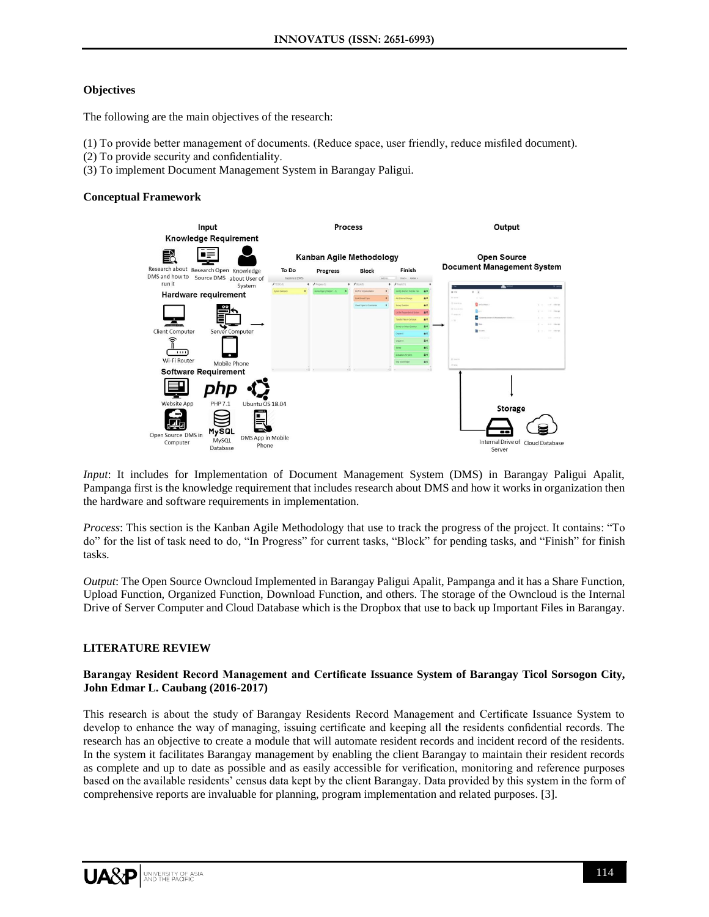## **Objectives**

The following are the main objectives of the research:

- (1) To provide better management of documents. (Reduce space, user friendly, reduce misfiled document).
- (2) To provide security and confidentiality.
- (3) To implement Document Management System in Barangay Paligui.

## **Conceptual Framework**



*Input*: It includes for Implementation of Document Management System (DMS) in Barangay Paligui Apalit, Pampanga first is the knowledge requirement that includes research about DMS and how it works in organization then the hardware and software requirements in implementation.

*Process*: This section is the Kanban Agile Methodology that use to track the progress of the project. It contains: "To do" for the list of task need to do, "In Progress" for current tasks, "Block" for pending tasks, and "Finish" for finish tasks.

*Output*: The Open Source Owncloud Implemented in Barangay Paligui Apalit, Pampanga and it has a Share Function, Upload Function, Organized Function, Download Function, and others. The storage of the Owncloud is the Internal Drive of Server Computer and Cloud Database which is the Dropbox that use to back up Important Files in Barangay.

## **LITERATURE REVIEW**

## **Barangay Resident Record Management and Certificate Issuance System of Barangay Ticol Sorsogon City, John Edmar L. Caubang (2016-2017)**

This research is about the study of Barangay Residents Record Management and Certificate Issuance System to develop to enhance the way of managing, issuing certificate and keeping all the residents confidential records. The research has an objective to create a module that will automate resident records and incident record of the residents. In the system it facilitates Barangay management by enabling the client Barangay to maintain their resident records as complete and up to date as possible and as easily accessible for verification, monitoring and reference purposes based on the available residents' census data kept by the client Barangay. Data provided by this system in the form of comprehensive reports are invaluable for planning, program implementation and related purposes. [3].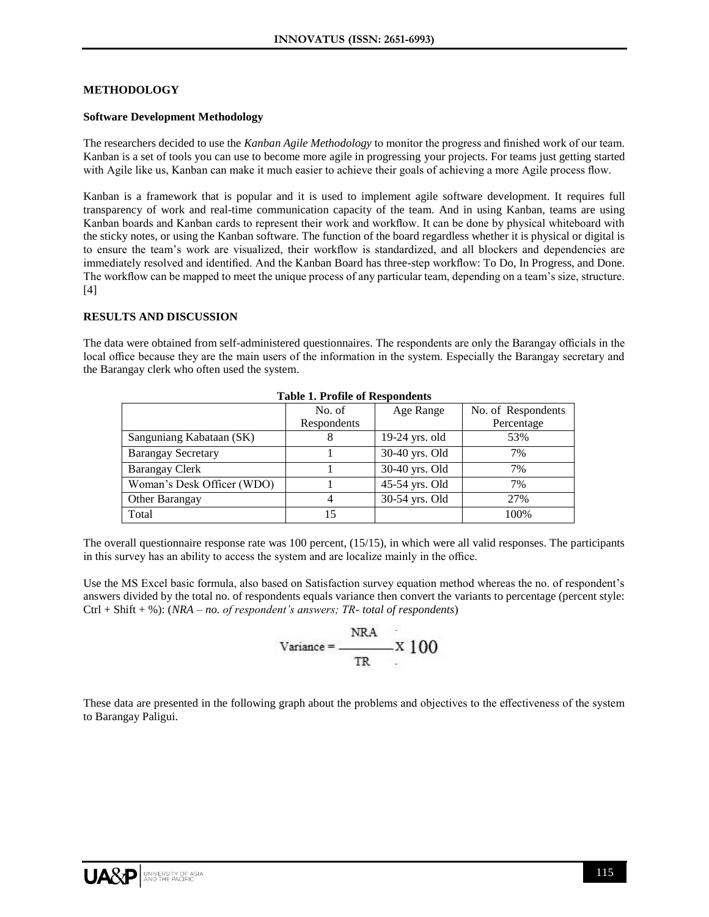## **METHODOLOGY**

#### **Software Development Methodology**

The researchers decided to use the *Kanban Agile Methodology* to monitor the progress and finished work of our team. Kanban is a set of tools you can use to become more agile in progressing your projects. For teams just getting started with Agile like us, Kanban can make it much easier to achieve their goals of achieving a more Agile process flow.

Kanban is a framework that is popular and it is used to implement agile software development. It requires full transparency of work and real-time communication capacity of the team. And in using Kanban, teams are using Kanban boards and Kanban cards to represent their work and workflow. It can be done by physical whiteboard with the sticky notes, or using the Kanban software. The function of the board regardless whether it is physical or digital is to ensure the team's work are visualized, their workflow is standardized, and all blockers and dependencies are immediately resolved and identified. And the Kanban Board has three-step workflow: To Do, In Progress, and Done. The workflow can be mapped to meet the unique process of any particular team, depending on a team's size, structure. [4]

## **RESULTS AND DISCUSSION**

The data were obtained from self-administered questionnaires. The respondents are only the Barangay officials in the local office because they are the main users of the information in the system. Especially the Barangay secretary and the Barangay clerk who often used the system.

|                            | No. of      | Age Range        | No. of Respondents |
|----------------------------|-------------|------------------|--------------------|
|                            | Respondents |                  | Percentage         |
| Sanguniang Kabataan (SK)   | 8           | $19-24$ yrs. old | 53%                |
| <b>Barangay Secretary</b>  |             | 30-40 yrs. Old   | 7%                 |
| <b>Barangay Clerk</b>      |             | 30-40 yrs. Old   | 7%                 |
| Woman's Desk Officer (WDO) |             | 45-54 yrs. Old   | 7%                 |
| Other Barangay             | 4           | 30-54 yrs. Old   | 27%                |
| Total                      | 15          |                  | 100%               |

**Table 1. Profile of Respondents**

The overall questionnaire response rate was 100 percent, (15/15), in which were all valid responses. The participants in this survey has an ability to access the system and are localize mainly in the office.

Use the MS Excel basic formula, also based on Satisfaction survey equation method whereas the no. of respondent's answers divided by the total no. of respondents equals variance then convert the variants to percentage (percent style: Ctrl + Shift + %): (*NRA – no. of respondent's answers; TR- total of respondents*)

$$
Variance = \frac{NRA}{TR} \times 100
$$

These data are presented in the following graph about the problems and objectives to the effectiveness of the system to Barangay Paligui.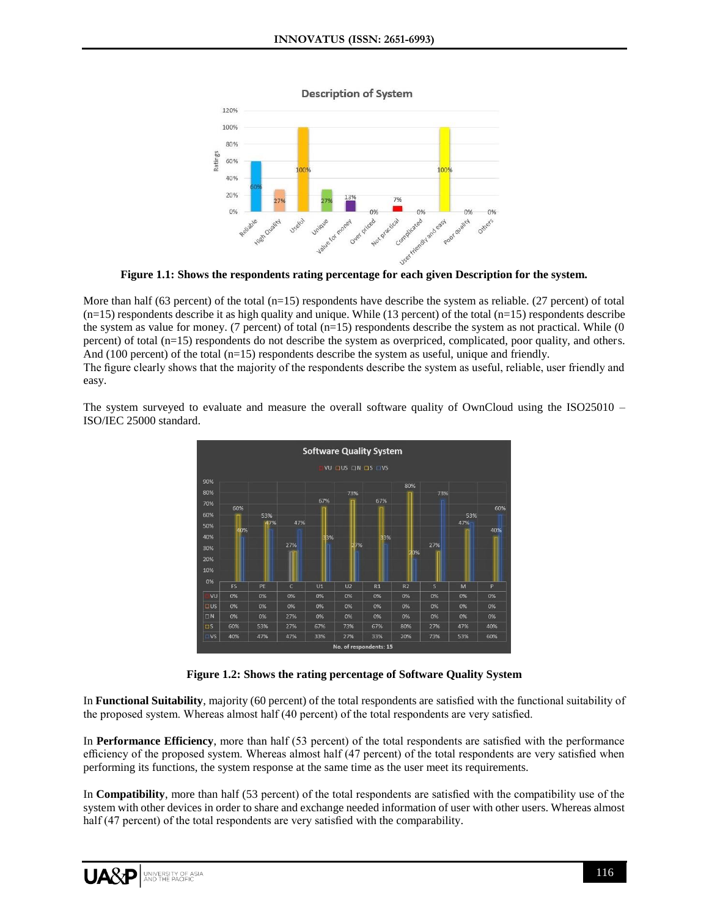

**Figure 1.1: Shows the respondents rating percentage for each given Description for the system.**

More than half (63 percent) of the total  $(n=15)$  respondents have describe the system as reliable. (27 percent) of total  $(n=15)$  respondents describe it as high quality and unique. While (13 percent) of the total  $(n=15)$  respondents describe the system as value for money. (7 percent) of total  $(n=15)$  respondents describe the system as not practical. While (0 percent) of total (n=15) respondents do not describe the system as overpriced, complicated, poor quality, and others. And (100 percent) of the total (n=15) respondents describe the system as useful, unique and friendly. The figure clearly shows that the majority of the respondents describe the system as useful, reliable, user friendly and easy.

The system surveyed to evaluate and measure the overall software quality of OwnCloud using the ISO25010 – ISO/IEC 25000 standard.



**Figure 1.2: Shows the rating percentage of Software Quality System**

In **Functional Suitability**, majority (60 percent) of the total respondents are satisfied with the functional suitability of the proposed system. Whereas almost half (40 percent) of the total respondents are very satisfied.

In **Performance Efficiency**, more than half (53 percent) of the total respondents are satisfied with the performance efficiency of the proposed system. Whereas almost half (47 percent) of the total respondents are very satisfied when performing its functions, the system response at the same time as the user meet its requirements.

In **Compatibility**, more than half (53 percent) of the total respondents are satisfied with the compatibility use of the system with other devices in order to share and exchange needed information of user with other users. Whereas almost half (47 percent) of the total respondents are very satisfied with the comparability.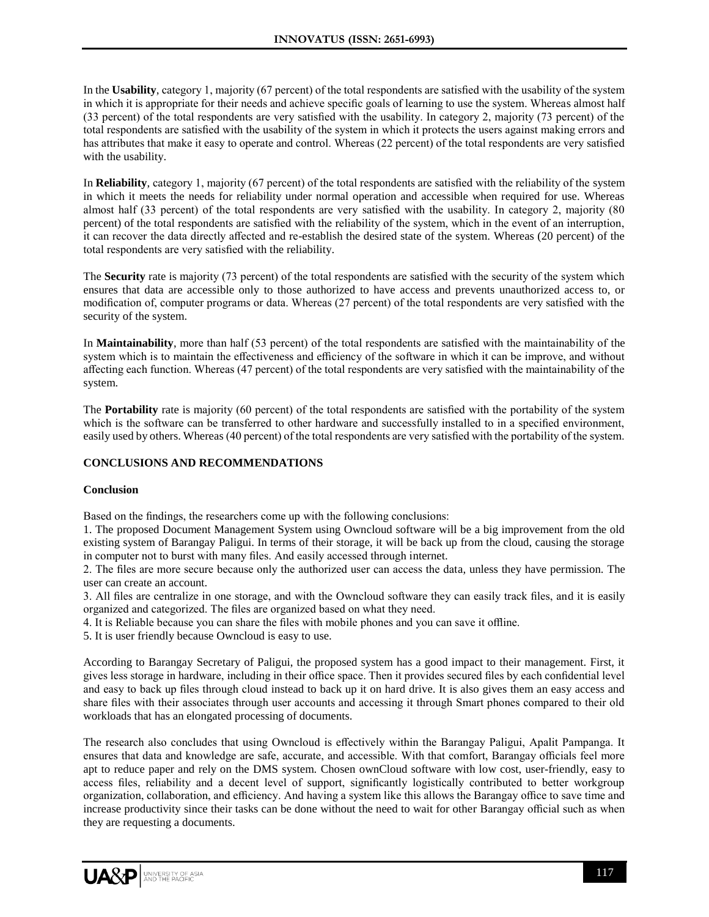In the **Usability**, category 1, majority (67 percent) of the total respondents are satisfied with the usability of the system in which it is appropriate for their needs and achieve specific goals of learning to use the system. Whereas almost half (33 percent) of the total respondents are very satisfied with the usability. In category 2, majority (73 percent) of the total respondents are satisfied with the usability of the system in which it protects the users against making errors and has attributes that make it easy to operate and control. Whereas (22 percent) of the total respondents are very satisfied with the usability.

In **Reliability**, category 1, majority (67 percent) of the total respondents are satisfied with the reliability of the system in which it meets the needs for reliability under normal operation and accessible when required for use. Whereas almost half (33 percent) of the total respondents are very satisfied with the usability. In category 2, majority (80 percent) of the total respondents are satisfied with the reliability of the system, which in the event of an interruption, it can recover the data directly affected and re-establish the desired state of the system. Whereas (20 percent) of the total respondents are very satisfied with the reliability.

The **Security** rate is majority (73 percent) of the total respondents are satisfied with the security of the system which ensures that data are accessible only to those authorized to have access and prevents unauthorized access to, or modification of, computer programs or data. Whereas (27 percent) of the total respondents are very satisfied with the security of the system.

In **Maintainability**, more than half (53 percent) of the total respondents are satisfied with the maintainability of the system which is to maintain the effectiveness and efficiency of the software in which it can be improve, and without affecting each function. Whereas (47 percent) of the total respondents are very satisfied with the maintainability of the system.

The **Portability** rate is majority (60 percent) of the total respondents are satisfied with the portability of the system which is the software can be transferred to other hardware and successfully installed to in a specified environment, easily used by others. Whereas (40 percent) of the total respondents are very satisfied with the portability of the system.

## **CONCLUSIONS AND RECOMMENDATIONS**

#### **Conclusion**

Based on the findings, the researchers come up with the following conclusions:

1. The proposed Document Management System using Owncloud software will be a big improvement from the old existing system of Barangay Paligui. In terms of their storage, it will be back up from the cloud, causing the storage in computer not to burst with many files. And easily accessed through internet.

2. The files are more secure because only the authorized user can access the data, unless they have permission. The user can create an account.

3. All files are centralize in one storage, and with the Owncloud software they can easily track files, and it is easily organized and categorized. The files are organized based on what they need.

4. It is Reliable because you can share the files with mobile phones and you can save it offline.

5. It is user friendly because Owncloud is easy to use.

According to Barangay Secretary of Paligui, the proposed system has a good impact to their management. First, it gives less storage in hardware, including in their office space. Then it provides secured files by each confidential level and easy to back up files through cloud instead to back up it on hard drive. It is also gives them an easy access and share files with their associates through user accounts and accessing it through Smart phones compared to their old workloads that has an elongated processing of documents.

The research also concludes that using Owncloud is effectively within the Barangay Paligui, Apalit Pampanga. It ensures that data and knowledge are safe, accurate, and accessible. With that comfort, Barangay officials feel more apt to reduce paper and rely on the DMS system. Chosen ownCloud software with low cost, user-friendly, easy to access files, reliability and a decent level of support, significantly logistically contributed to better workgroup organization, collaboration, and efficiency. And having a system like this allows the Barangay office to save time and increase productivity since their tasks can be done without the need to wait for other Barangay official such as when they are requesting a documents.